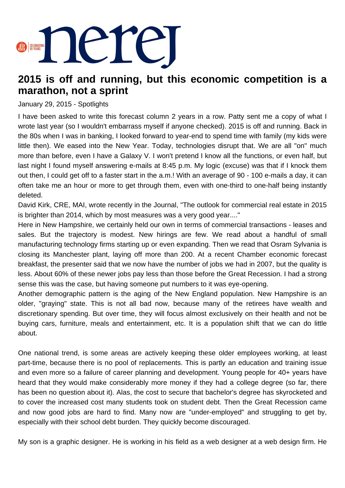

## **2015 is off and running, but this economic competition is a marathon, not a sprint**

## January 29, 2015 - Spotlights

I have been asked to write this forecast column 2 years in a row. Patty sent me a copy of what I wrote last year (so I wouldn't embarrass myself if anyone checked). 2015 is off and running. Back in the 80s when I was in banking, I looked forward to year-end to spend time with family (my kids were little then). We eased into the New Year. Today, technologies disrupt that. We are all "on" much more than before, even I have a Galaxy V. I won't pretend I know all the functions, or even half, but last night I found myself answering e-mails at 8:45 p.m. My logic (excuse) was that if I knock them out then, I could get off to a faster start in the a.m.! With an average of 90 - 100 e-mails a day, it can often take me an hour or more to get through them, even with one-third to one-half being instantly deleted.

David Kirk, CRE, MAI, wrote recently in the Journal, "The outlook for commercial real estate in 2015 is brighter than 2014, which by most measures was a very good year...."

Here in New Hampshire, we certainly held our own in terms of commercial transactions - leases and sales. But the trajectory is modest. New hirings are few. We read about a handful of small manufacturing technology firms starting up or even expanding. Then we read that Osram Sylvania is closing its Manchester plant, laying off more than 200. At a recent Chamber economic forecast breakfast, the presenter said that we now have the number of jobs we had in 2007, but the quality is less. About 60% of these newer jobs pay less than those before the Great Recession. I had a strong sense this was the case, but having someone put numbers to it was eye-opening.

Another demographic pattern is the aging of the New England population. New Hampshire is an older, "graying" state. This is not all bad now, because many of the retirees have wealth and discretionary spending. But over time, they will focus almost exclusively on their health and not be buying cars, furniture, meals and entertainment, etc. It is a population shift that we can do little about.

One national trend, is some areas are actively keeping these older employees working, at least part-time, because there is no pool of replacements. This is partly an education and training issue and even more so a failure of career planning and development. Young people for 40+ years have heard that they would make considerably more money if they had a college degree (so far, there has been no question about it). Alas, the cost to secure that bachelor's degree has skyrocketed and to cover the increased cost many students took on student debt. Then the Great Recession came and now good jobs are hard to find. Many now are "under-employed" and struggling to get by, especially with their school debt burden. They quickly become discouraged.

My son is a graphic designer. He is working in his field as a web designer at a web design firm. He